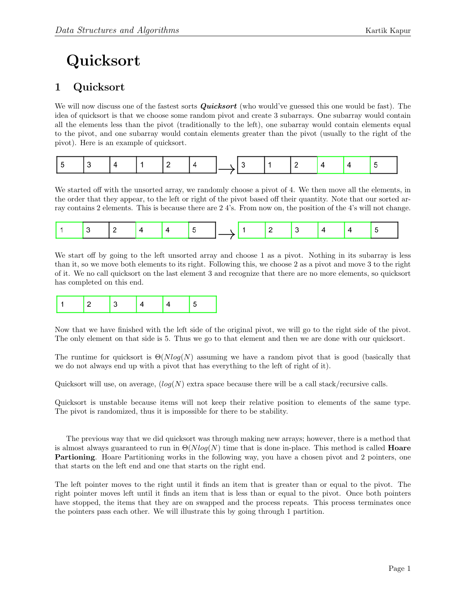## Quicksort

## 1 Quicksort

We will now discuss one of the fastest sorts **Quicksort** (who would've guessed this one would be fast). The idea of quicksort is that we choose some random pivot and create 3 subarrays. One subarray would contain all the elements less than the pivot (traditionally to the left), one subarray would contain elements equal to the pivot, and one subarray would contain elements greater than the pivot (usually to the right of the pivot). Here is an example of quicksort.

|--|

We started off with the unsorted array, we randomly choose a pivot of 4. We then move all the elements, in the order that they appear, to the left or right of the pivot based off their quantity. Note that our sorted array contains 2 elements. This is because there are 2 4's. From now on, the position of the 4's will not change.

|--|

We start off by going to the left unsorted array and choose 1 as a pivot. Nothing in its subarray is less than it, so we move both elements to its right. Following this, we choose 2 as a pivot and move 3 to the right of it. We no call quicksort on the last element 3 and recognize that there are no more elements, so quicksort has completed on this end.

|--|--|--|--|

Now that we have finished with the left side of the original pivot, we will go to the right side of the pivot. The only element on that side is 5. Thus we go to that element and then we are done with our quicksort.

The runtime for quicksort is  $\Theta(Nlog(N))$  assuming we have a random pivot that is good (basically that we do not always end up with a pivot that has everything to the left of right of it).

Quicksort will use, on average,  $(log(N)$  extra space because there will be a call stack/recursive calls.

Quicksort is unstable because items will not keep their relative position to elements of the same type. The pivot is randomized, thus it is impossible for there to be stability.

The previous way that we did quicksort was through making new arrays; however, there is a method that is almost always guaranteed to run in  $\Theta(Nlog(N))$  time that is done in-place. This method is called **Hoare** Partioning. Hoare Partitioning works in the following way, you have a chosen pivot and 2 pointers, one that starts on the left end and one that starts on the right end.

The left pointer moves to the right until it finds an item that is greater than or equal to the pivot. The right pointer moves left until it finds an item that is less than or equal to the pivot. Once both pointers have stopped, the items that they are on swapped and the process repeats. This process terminates once the pointers pass each other. We will illustrate this by going through 1 partition.